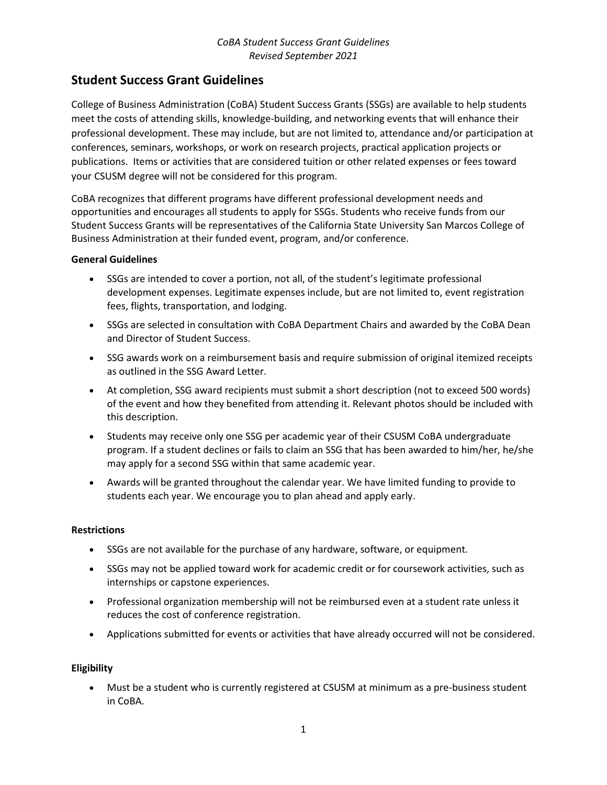## **Student Success Grant Guidelines**

College of Business Administration (CoBA) Student Success Grants (SSGs) are available to help students meet the costs of attending skills, knowledge-building, and networking events that will enhance their professional development. These may include, but are not limited to, attendance and/or participation at conferences, seminars, workshops, or work on research projects, practical application projects or publications. Items or activities that are considered tuition or other related expenses or fees toward your CSUSM degree will not be considered for this program.

CoBA recognizes that different programs have different professional development needs and opportunities and encourages all students to apply for SSGs. Students who receive funds from our Student Success Grants will be representatives of the California State University San Marcos College of Business Administration at their funded event, program, and/or conference.

#### **General Guidelines**

- SSGs are intended to cover a portion, not all, of the student's legitimate professional development expenses. Legitimate expenses include, but are not limited to, event registration fees, flights, transportation, and lodging.
- SSGs are selected in consultation with CoBA Department Chairs and awarded by the CoBA Dean and Director of Student Success.
- SSG awards work on a reimbursement basis and require submission of original itemized receipts as outlined in the SSG Award Letter.
- At completion, SSG award recipients must submit a short description (not to exceed 500 words) of the event and how they benefited from attending it. Relevant photos should be included with this description.
- Students may receive only one SSG per academic year of their CSUSM CoBA undergraduate program. If a student declines or fails to claim an SSG that has been awarded to him/her, he/she may apply for a second SSG within that same academic year.
- Awards will be granted throughout the calendar year. We have limited funding to provide to students each year. We encourage you to plan ahead and apply early.

#### **Restrictions**

- SSGs are not available for the purchase of any hardware, software, or equipment.
- SSGs may not be applied toward work for academic credit or for coursework activities, such as internships or capstone experiences.
- Professional organization membership will not be reimbursed even at a student rate unless it reduces the cost of conference registration.
- Applications submitted for events or activities that have already occurred will not be considered.

#### **Eligibility**

• Must be a student who is currently registered at CSUSM at minimum as a pre-business student in CoBA.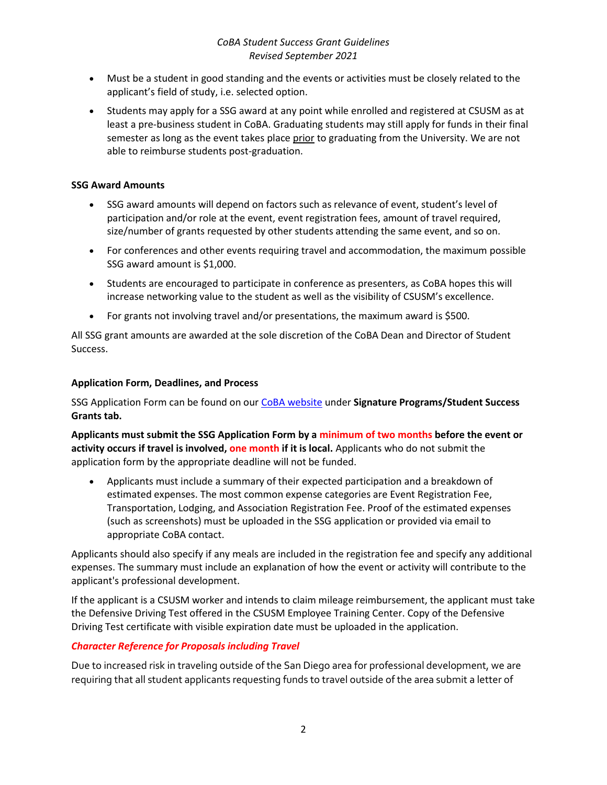- Must be a student in good standing and the events or activities must be closely related to the applicant's field of study, i.e. selected option.
- Students may apply for a SSG award at any point while enrolled and registered at CSUSM as at least a pre-business student in CoBA. Graduating students may still apply for funds in their final semester as long as the event takes place prior to graduating from the University. We are not able to reimburse students post-graduation.

## **SSG Award Amounts**

- SSG award amounts will depend on factors such as relevance of event, student's level of participation and/or role at the event, event registration fees, amount of travel required, size/number of grants requested by other students attending the same event, and so on.
- For conferences and other events requiring travel and accommodation, the maximum possible SSG award amount is \$1,000.
- Students are encouraged to participate in conference as presenters, as CoBA hopes this will increase networking value to the student as well as the visibility of CSUSM's excellence.
- For grants not involving travel and/or presentations, the maximum award is \$500.

All SSG grant amounts are awarded at the sole discretion of the CoBA Dean and Director of Student Success.

#### **Application Form, Deadlines, and Process**

SSG Application Form can be found on ou[r CoBA website](https://www.csusm.edu/coba/) under **Signature Programs/Student Success Grants tab.** 

**Applicants must submit the SSG Application Form by a minimum of two months before the event or activity occurs if travel is involved, one month if it is local.** Applicants who do not submit the application form by the appropriate deadline will not be funded.

• Applicants must include a summary of their expected participation and a breakdown of estimated expenses. The most common expense categories are Event Registration Fee, Transportation, Lodging, and Association Registration Fee. Proof of the estimated expenses (such as screenshots) must be uploaded in the SSG application or provided via email to appropriate CoBA contact.

Applicants should also specify if any meals are included in the registration fee and specify any additional expenses. The summary must include an explanation of how the event or activity will contribute to the applicant's professional development.

If the applicant is a CSUSM worker and intends to claim mileage reimbursement, the applicant must take the Defensive Driving Test offered in the CSUSM Employee Training Center. Copy of the Defensive Driving Test certificate with visible expiration date must be uploaded in the application.

## *Character Reference for Proposals including Travel*

Due to increased risk in traveling outside of the San Diego area for professional development, we are requiring that all student applicants requesting funds to travel outside of the area submit a letter of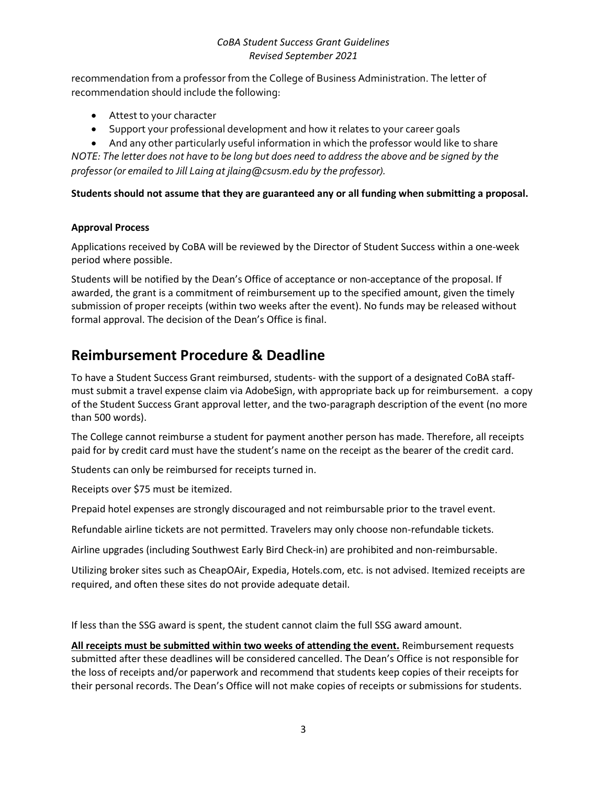recommendation from a professor from the College of Business Administration. The letter of recommendation should include the following:

- Attest to your character
- Support your professional development and how it relates to your career goals

• And any other particularly useful information in which the professor would like to share *NOTE: The letter does not have to be long but does need to address the above and be signed by the professor (or emailed to Jill Laing at jlaing@csusm.edu by the professor).* 

**Students should not assume that they are guaranteed any or all funding when submitting a proposal.**

## **Approval Process**

Applications received by CoBA will be reviewed by the Director of Student Success within a one-week period where possible.

Students will be notified by the Dean's Office of acceptance or non-acceptance of the proposal. If awarded, the grant is a commitment of reimbursement up to the specified amount, given the timely submission of proper receipts (within two weeks after the event). No funds may be released without formal approval. The decision of the Dean's Office is final.

# **Reimbursement Procedure & Deadline**

To have a Student Success Grant reimbursed, students- with the support of a designated CoBA staffmust submit a travel expense claim via AdobeSign, with appropriate back up for reimbursement. a copy of the Student Success Grant approval letter, and the two-paragraph description of the event (no more than 500 words).

The College cannot reimburse a student for payment another person has made. Therefore, all receipts paid for by credit card must have the student's name on the receipt as the bearer of the credit card.

Students can only be reimbursed for receipts turned in.

Receipts over \$75 must be itemized.

Prepaid hotel expenses are strongly discouraged and not reimbursable prior to the travel event.

Refundable airline tickets are not permitted. Travelers may only choose non-refundable tickets.

Airline upgrades (including Southwest Early Bird Check-in) are prohibited and non-reimbursable.

Utilizing broker sites such as CheapOAir, Expedia, Hotels.com, etc. is not advised. Itemized receipts are required, and often these sites do not provide adequate detail.

If less than the SSG award is spent, the student cannot claim the full SSG award amount.

**All receipts must be submitted within two weeks of attending the event.** Reimbursement requests submitted after these deadlines will be considered cancelled. The Dean's Office is not responsible for the loss of receipts and/or paperwork and recommend that students keep copies of their receipts for their personal records. The Dean's Office will not make copies of receipts or submissions for students.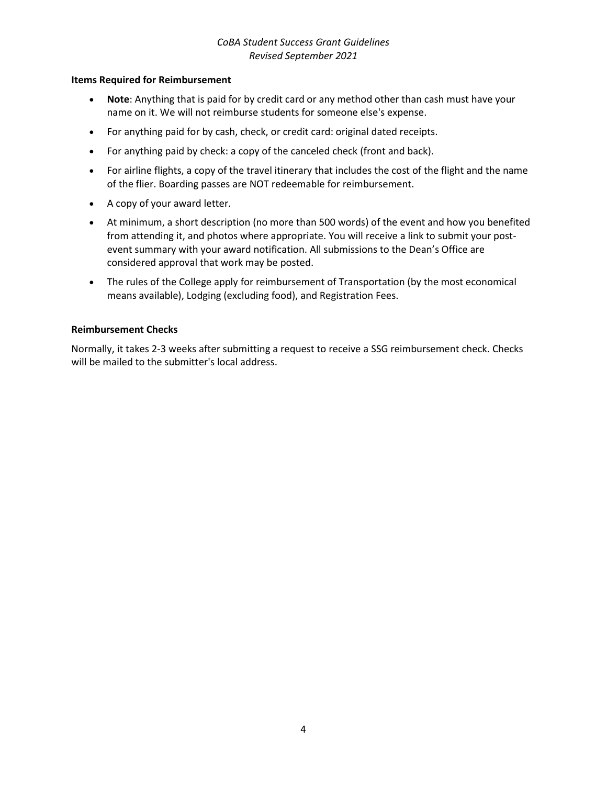#### **Items Required for Reimbursement**

- **Note**: Anything that is paid for by credit card or any method other than cash must have your name on it. We will not reimburse students for someone else's expense.
- For anything paid for by cash, check, or credit card: original dated receipts.
- For anything paid by check: a copy of the canceled check (front and back).
- For airline flights, a copy of the travel itinerary that includes the cost of the flight and the name of the flier. Boarding passes are NOT redeemable for reimbursement.
- A copy of your award letter.
- At minimum, a short description (no more than 500 words) of the event and how you benefited from attending it, and photos where appropriate. You will receive a link to submit your postevent summary with your award notification. All submissions to the Dean's Office are considered approval that work may be posted.
- The rules of the College apply for reimbursement of Transportation (by the most economical means available), Lodging (excluding food), and Registration Fees.

#### **Reimbursement Checks**

Normally, it takes 2-3 weeks after submitting a request to receive a SSG reimbursement check. Checks will be mailed to the submitter's local address.